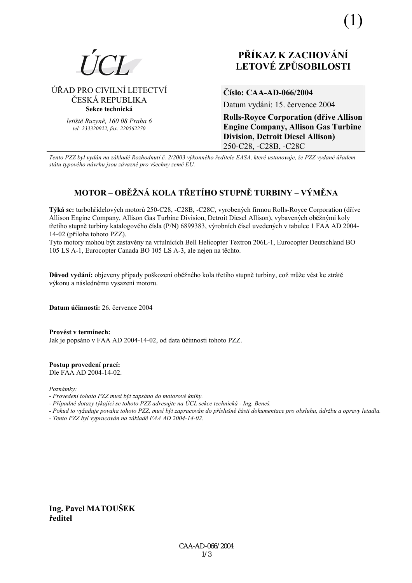

# ÚŘAD PRO CIVILNÍ LETECTVÍ ČESKÁ REPUBLIKA Sekce technická

letiště Ruzyně, 160 08 Praha 6 tel: 233320922. fax: 220562270

# PŘÍKAZ K ZACHOVÁNÍ **LETOVÉ ZPŮSOBILOSTI**

# Číslo: CAA-AD-066/2004

Datum vydání: 15. července 2004

**Rolls-Royce Corporation (dříve Allison Engine Company, Allison Gas Turbine Division, Detroit Diesel Allison)** 250-C28, -C28B, -C28C

Tento PZZ byl vydán na základě Rozhodnutí č. 2/2003 výkonného ředitele EASA, které ustanovuje, že PZZ vydané úřadem státu typového návrhu jsou závazné pro všechny země EU.

# MOTOR – OBĚŽNÁ KOLA TŘETÍHO STUPNĚ TURBINY – VÝMĚNA

Týká se: turbohřídelových motorů 250-C28, -C28B, -C28C, vyrobených firmou Rolls-Royce Corporation (dříve Allison Engine Company, Allison Gas Turbine Division, Detroit Diesel Allison), vybavených oběžnými koly třetího stupně turbiny katalogového čísla (P/N) 6899383, výrobních čísel uvedených v tabulce 1 FAA AD 2004-14-02 (příloha tohoto PZZ).

Tyto motory mohou být zastavěny na vrtulnících Bell Helicopter Textron 206L-1, Eurocopter Deutschland BO 105 LS A-1, Eurocopter Canada BO 105 LS A-3, ale nejen na těchto.

Důvod vydání: objeveny případy poškození oběžného kola třetího stupně turbiny, což může vést ke ztrátě výkonu a následnému vysazení motoru.

Datum účinnosti: 26. července 2004

Provést v termínech:

Jak je popsáno v FAA AD 2004-14-02, od data účinnosti tohoto PZZ.

Postup provedení prací: Dle FAA AD 2004-14-02.

Poznámky:

- Pokud to vyžaduje povaha tohoto PZZ, musí být zapracován do příslušné části dokumentace pro obsluhu, údržbu a opravy letadla.
- Tento PZZ byl vypracován na základě FAA AD 2004-14-02.

Ing. Pavel MATOUŠEK ředitel

<sup>-</sup> Provedení tohoto PZZ musí být zapsáno do motorové knihy.

<sup>-</sup> Případné dotazy týkající se tohoto PZZ adresujte na ÚCL sekce technická - Ing. Beneš.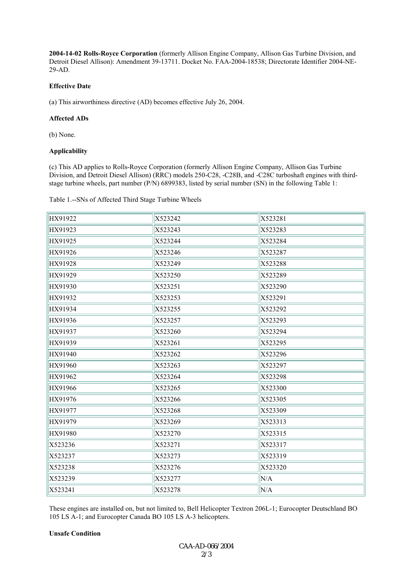**2004-14-02 Rolls-Royce Corporation** (formerly Allison Engine Company, Allison Gas Turbine Division, and Detroit Diesel Allison): Amendment 39-13711. Docket No. FAA-2004-18538; Directorate Identifier 2004-NE-29-AD.

### **Effective Date**

(a) This airworthiness directive (AD) becomes effective July 26, 2004.

## **Affected ADs**

(b) None.

### **Applicability**

(c) This AD applies to Rolls-Royce Corporation (formerly Allison Engine Company, Allison Gas Turbine Division, and Detroit Diesel Allison) (RRC) models 250-C28, -C28B, and -C28C turboshaft engines with thirdstage turbine wheels, part number (P/N) 6899383, listed by serial number (SN) in the following Table 1:

Table 1.--SNs of Affected Third Stage Turbine Wheels

| HX91922 | X523242 | X523281 |
|---------|---------|---------|
| HX91923 | X523243 | X523283 |
| HX91925 | X523244 | X523284 |
| HX91926 | X523246 | X523287 |
| HX91928 | X523249 | X523288 |
| HX91929 | X523250 | X523289 |
| HX91930 | X523251 | X523290 |
| HX91932 | X523253 | X523291 |
| HX91934 | X523255 | X523292 |
| HX91936 | X523257 | X523293 |
| HX91937 | X523260 | X523294 |
| HX91939 | X523261 | X523295 |
| HX91940 | X523262 | X523296 |
| HX91960 | X523263 | X523297 |
| HX91962 | X523264 | X523298 |
| HX91966 | X523265 | X523300 |
| HX91976 | X523266 | X523305 |
| HX91977 | X523268 | X523309 |
| HX91979 | X523269 | X523313 |
| HX91980 | X523270 | X523315 |
| X523236 | X523271 | X523317 |
| X523237 | X523273 | X523319 |
| X523238 | X523276 | X523320 |
| X523239 | X523277 | N/A     |
| X523241 | X523278 | N/A     |

These engines are installed on, but not limited to, Bell Helicopter Textron 206L-1; Eurocopter Deutschland BO 105 LS A-1; and Eurocopter Canada BO 105 LS A-3 helicopters.

## **Unsafe Condition**